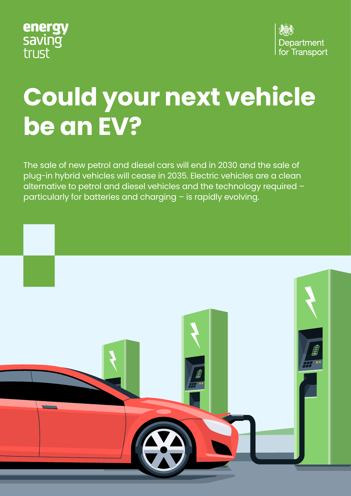



# **Could your next vehicle be an EV?**

The sale of new petrol and diesel cars will end in 2030 and the sale of plug-in hybrid vehicles will cease in 2035. Electric vehicles are a clean alternative to petrol and diesel vehicles and the technology required – particularly for batteries and charging – is rapidly evolving.

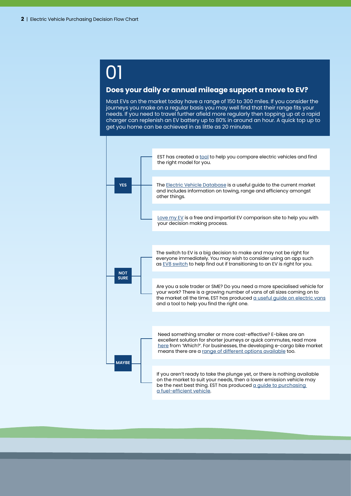## 01

#### **Does your daily or annual mileage support a move to EV?**

Most EVs on the market today have a range of 150 to 300 miles. If you consider the journeys you make on a regular basis you may well find that their range fits your needs. If you need to travel further afield more regularly then topping up at a rapid charger can replenish an EV battery up to 80% in around an hour. A quick top up to get you home can be achieved in as little as 20 minutes.

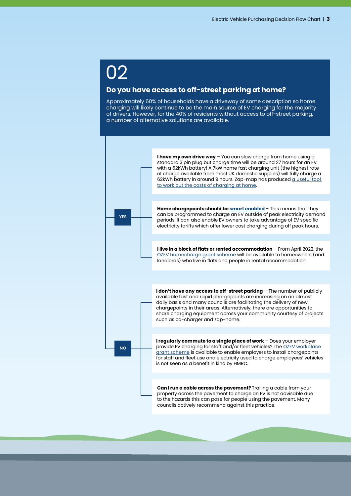### 02

#### **Do you have access to off-street parking at home?**

Approximately 60% of households have a driveway of some description so home charging will likely continue to be the main source of EV charging for the majority of drivers. However, for the 40% of residents without access to off-street parking, a number of alternative solutions are available.



**I have my own drive way** – You can slow charge from home using a standard 3 pin plug but charge time will be around 27 hours for an EV with a 62kWh battery! A 7kW home fast charging unit (the highest rate of charge available from most UK domestic supplies) will fully charge a 62kWh battery in around 9 hours. Zap-map has produced a useful tool [to work out the costs of charging at home](https://www.zap-map.com/tools/home-charging-calculator/).

**Home chargepoints should be [smart enabled](https://energysavingtrust.org.uk/advice/smart-charging-electric-vehicles/)** – This means that they can be programmed to charge an EV outside of peak electricity demand periods. It can also enable EV owners to take advantage of EV specific electricity tariffs which offer lower cost charging during off peak hours.

**I live in a block of flats or rented accommodation** – From April 2022, the [OZEV homecharge grant scheme](https://www.gov.uk/government/publications/customer-guidance-electric-vehicle-homecharge-scheme/electric-vehicle-homecharge-scheme-guidance-for-customers) will be available to homeowners (and landlords) who live in flats and people in rental accommodation.

**I don't have any access to off-street parking** - The number of publicly available fast and rapid chargepoints are increasing on an almost daily basis and many councils are facilitating the delivery of new chargepoints in their areas. Alternatively, there are opportunities to share charging equipment across your community courtesy of projects such as co-charger and zap-home.

**I regularly commute to a single place of work** – Does your employer provide EV charging for staff and/or fleet vehicles? The [OZEV workplace](https://www.gov.uk/government/publications/workplace-charging-scheme-guidance-for-applicants-installers-and-manufacturers)  [grant scheme](https://www.gov.uk/government/publications/workplace-charging-scheme-guidance-for-applicants-installers-and-manufacturers) is available to enable employers to install chargepoints for staff and fleet use and electricity used to charge employees' vehicles is not seen as a benefit in kind by HMRC.

**Can I run a cable across the pavement?** Trailing a cable from your property across the pavement to charge an EV is not advisable due to the hazards this can pose for people using the pavement. Many councils actively recommend against this practice.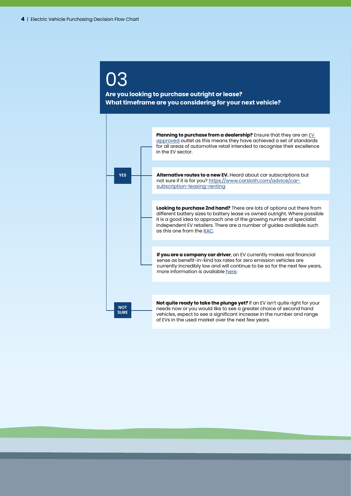### 03

#### **Are you looking to purchase outright or lease? What timeframe are you considering for your next vehicle?**

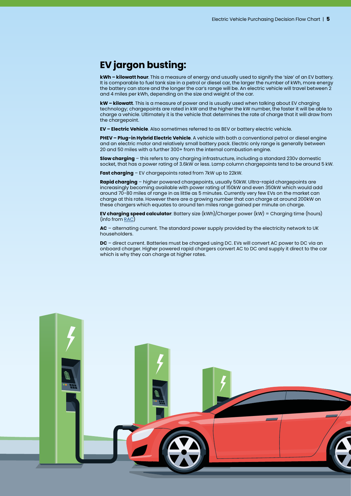#### **EV jargon busting:**

**kWh – kilowatt hour**. This a measure of energy and usually used to signify the 'size' of an EV battery. It is comparable to fuel tank size in a petrol or diesel car, the larger the number of kWh, more energy the battery can store and the longer the car's range will be. An electric vehicle will travel between 2 and 4 miles per kWh, depending on the size and weight of the car.

**kW – kilowatt**. This is a measure of power and is usually used when talking about EV charging technology; chargepoints are rated in kW and the higher the kW number, the faster it will be able to charge a vehicle. Ultimately it is the vehicle that determines the rate of charge that it will draw from the chargepoint.

**EV – Electric Vehicle**. Also sometimes referred to as BEV or battery electric vehicle.

**PHEV – Plug-in Hybrid Electric Vehicle**. A vehicle with both a conventional petrol or diesel engine and an electric motor and relatively small battery pack. Electric only range is generally between 20 and 50 miles with a further 300+ from the internal combustion engine.

**Slow charging** – this refers to any charging infrastructure, including a standard 230v domestic socket, that has a power rating of 3.6kW or less. Lamp column chargepoints tend to be around 5 kW.

**Fast charging** – EV chargepoints rated from 7kW up to 22kW.

**Rapid charging** – higher powered chargepoints, usually 50kW. Ultra-rapid chargepoints are increasingly becoming available with power rating of 150kW and even 350kW which would add around 70-80 miles of range in as little as 5 minutes. Currently very few EVs on the market can charge at this rate. However there are a growing number that can charge at around 200kW on these chargers which equates to around ten miles range gained per minute on charge.

**EV charging speed calculator**: Battery size (kWh)/Charger power (kW) = Charging time (hours) (info from [RAC](https://www.rac.co.uk/drive/electric-cars/charging/electric-car-charging-speeds/))

**AC** – alternating current. The standard power supply provided by the electricity network to UK householders.

**DC** – direct current. Batteries must be charged using DC. EVs will convert AC power to DC via an onboard charger. Higher powered rapid chargers convert AC to DC and supply it direct to the car which is why they can charge at higher rates.